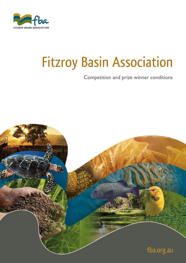

# **Fitzroy Basin Association**

Competition and prize winner conditions

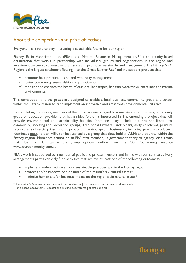

#### About the competition and prize objectives

Everyone has a role to play in creating a sustainable future for our region.

Fitzroy Basin Association Inc. (FBA) is a Natural Resource Management (NRM) community-based organisation that works in partnership with individuals, groups and organisations in the region and investment partnersto protect natural assets and promote sustainable land management. The Fitzroy NRM Region is the largest catchment flowing into the Great Barrier Reef and we support projects that:

- $\checkmark$  promote best practice in land and waterway management
- $\checkmark$  foster community stewardship and participation
- ✓ monitor and enhance the health of our local landscapes, habitats, waterways, coastlines and marine environments.

This competition and the prizes are designed to enable a local business, community group and school within the Fitzroy region to each implement an innovative and grassroots environmental initiative.

By completing the survey, members of the public are encouraged to nominate a local business, community group or education provider that has an idea for, or is interested in, implementing a project that will provide environmental and sustainability benefits. Nominees may include, but are not limited to, community, sporting and recreation groups, Traditional Owners, landholders, early childhood, primary, secondary and tertiary institutions, private and not-for-profit businesses, including primary producers. Nominees must hold an ABN (or be auspiced by a group that does hold an ABN) and operate within the Fitzroy region. Nominees cannot be an FBA staff member, a government entity or agency, or a group that does not fall within the group options outlined on the Our Community website [www.ourcommunity.com.au.](http://www.ourcommunity.com.au/)

FBA's work is supported by a number of public and private investors and in line with our service delivery arrangements prizes can only fund activities that achieve at least one of the following outcomes:-

- implement and/or facilitate more sustainable practices within the Fitzroy region
- protect and/or improve one or more of the region's six natural assets\*
- minimise human and/or business impact on the region's six natural assets\*

\* The region's 6 natural assets are: soil | groundwater | freshwater rivers, creeks and wetlands | land-based ecosystems | coastal and marine ecosystems | climate and air

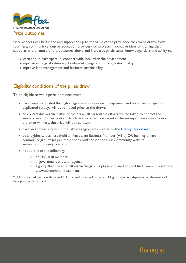

#### Prize outcomes

Prize winners will be funded and supported up to the value of the prize pool they were drawn from (business, community group or education provider) for projects, innovative ideas or training that supports one or more of the outcomes above and increases participants' knowledge, skills and ability to:

- learn about, participate in, connect with, look after the environment
- improve ecological values e.g. biodiversity, vegetation, soils, water quality
- improve land management and business sustainability

# Eligibility conditions of the prize draw

To be eligible to win a prize, nominees must:

- have been nominated through a legitimate survey (spam responses, and nominees on spam or duplicated surveys will be removed prior to the draw).
- be contactable within 7 days of the draw (all reasonable efforts will be taken to contact the winners, even if their contact details are incorrectly entered in the survey). If we cannot contact the prize winners, the prize will be redrawn.
- have an address located in the Fitzroy region area refer to the [Fitzroy Region map.](https://www.fba.org.au/our-region/our-region/location/)
- be a legitimate business (hold an Australian Business Number (ABN) OR be a legitimate community group\* (as per the options outlined on the Our Community website [www.ourcommunity.com.au\)](http://www.ourcommunity.com.au/)
- not be one of the following:
	- o an FBA staff member
	- o a government entity or agency
	- o a group that does not fall within the group options outlined on the Our Community website [www.ourcommunity.com.au.](http://www.ourcommunity.com.au/)

\* Unincorporated groups without an ABN may need to enter into an 'auspicing' arrangement depending on the nature of their prize-funded project.

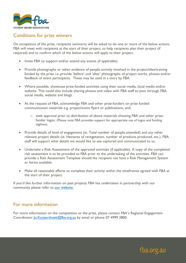

# Conditions for prize winners

On acceptance of the prize, recipients (winners) will be asked to do one or more of the below actions. FBA will meet with recipients at the start of their project, to help recipients plan their project (if required) and to confirm which of the below actions will apply to their project.

- Invite FBA to support and/or attend any events (if applicable).
- Provide photographs or other evidence of people actively involved in the project/idea/training funded by the prize i.e..provide 'before' and 'after' photographs of project works, photos and/or feedback of event participants. These may be used in a story by FBA.
- Where possible, showcase prize-funded activities using their social media, local media and/or website. This could also include sharing photos and video with FBA staff to post through FBA social media, website and blogs.
- At the request of FBA, acknowledge FBA and other prize-funders on prize funded communication materials e.g. project/event flyers or publications, and;
	- o seek approval prior to distribution of above materials showing FBA and other prizefunder logos. (Please note FBA provides support for appropriate use of logos and funding taglines).
- Provide details of level of engagement (ie. Total number of people attended) and any other relevant project details (ie. Hectares of revegetation, number of products produced, etc.). FBA staff will support what details we would like to see captured and communicated to us.
- Undertake a Risk Assessment of the approved activities (if applicable). A copy of the completed risk assessment is to be provided to FBA prior to the undertaking of the activities. FBA can provide a Risk Assessment Template should the recipient not have a Risk Management System or forms available.
- Make all reasonable efforts to complete their activity within the timeframes agreed with FBA at the start of their project.

If you'd like further information on past projects FBA has undertaken in partnership with our community please refer to [our website.](https://www.fba.org.au/relevant/?show-more-posts=282)

### For more information

For more information on the competition or the prize, please contact FBA's Regional Engagement Coordinator [Jo.Kurpershoek@fba.org.au](mailto:Jo.Kurpershoek@fba.org.au) by email or phone 07 4999 2800.